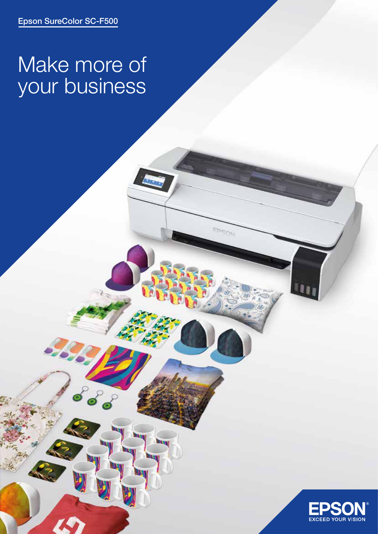# Make more of your business

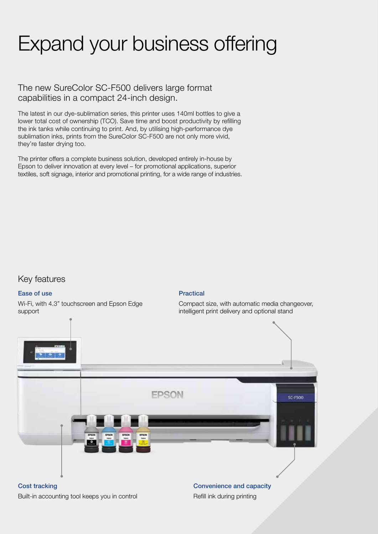# Expand your business offering

### The new SureColor SC-F500 delivers large format capabilities in a compact 24-inch design.

The latest in our dye-sublimation series, this printer uses 140ml bottles to give a lower total cost of ownership (TCO). Save time and boost productivity by refilling the ink tanks while continuing to print. And, by utilising high-performance dye sublimation inks, prints from the SureColor SC-F500 are not only more vivid, they're faster drying too.

The printer offers a complete business solution, developed entirely in-house by Epson to deliver innovation at every level – for promotional applications, superior textiles, soft signage, interior and promotional printing, for a wide range of industries.

### Key features

#### Ease of use

Wi-Fi, with 4.3" touchscreen and Epson Edge support

#### Practical

Compact size, with automatic media changeover, intelligent print delivery and optional stand

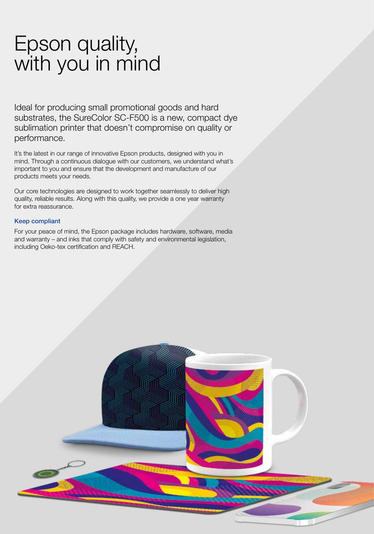## Epson quality, with you in mind

Ideal for producing small promotional goods and hard substrates, the SureColor SC-F500 is a new, compact dye sublimation printer that doesn't compromise on quality or performance.

It's the latest in our range of innovative Epson products, designed with you in mind. Through a continuous dialogue with our customers, we understand what's important to you and ensure that the development and manufacture of our products meets your needs.

Our core technologies are designed to work together seamlessly to deliver high quality, reliable results. Along with this quality, we provide a one year warranty for extra reassurance.

#### Keep compliant

For your peace of mind, the Epson package includes hardware, software, media and warranty – and inks that comply with safety and environmental legislation, including Oeko-tex certification and REACH.

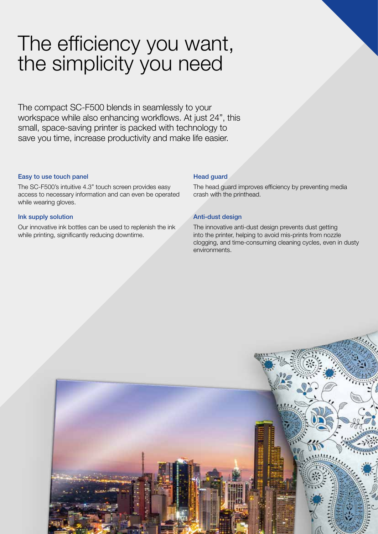## The efficiency you want, the simplicity you need

The compact SC-F500 blends in seamlessly to your workspace while also enhancing workflows. At just 24", this small, space-saving printer is packed with technology to save you time, increase productivity and make life easier.

#### Easy to use touch panel

The SC-F500's intuitive 4.3" touch screen provides easy access to necessary information and can even be operated while wearing gloves.

#### Ink supply solution

Our innovative ink bottles can be used to replenish the ink while printing, significantly reducing downtime.

#### Head guard

The head guard improves efficiency by preventing media crash with the printhead.

#### Anti-dust design

The innovative anti-dust design prevents dust getting into the printer, helping to avoid mis-prints from nozzle clogging, and time-consuming cleaning cycles, even in dusty environments.

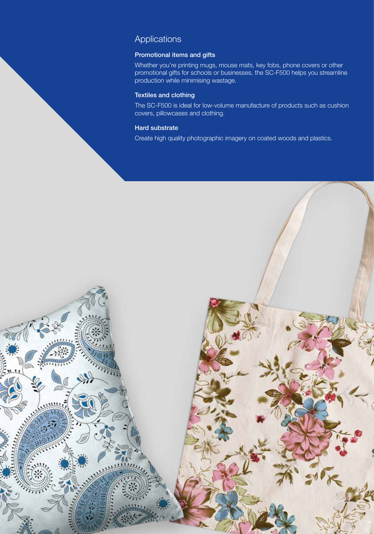## Applications

#### Promotional items and gifts

Whether you're printing mugs, mouse mats, key fobs, phone covers or other promotional gifts for schools or businesses, the SC-F500 helps you streamline production while minimising wastage.

#### Textiles and clothing

The SC-F500 is ideal for low-volume manufacture of products such as cushion covers, pillowcases and clothing.

#### Hard substrate

Create high quality photographic imagery on coated woods and plastics.